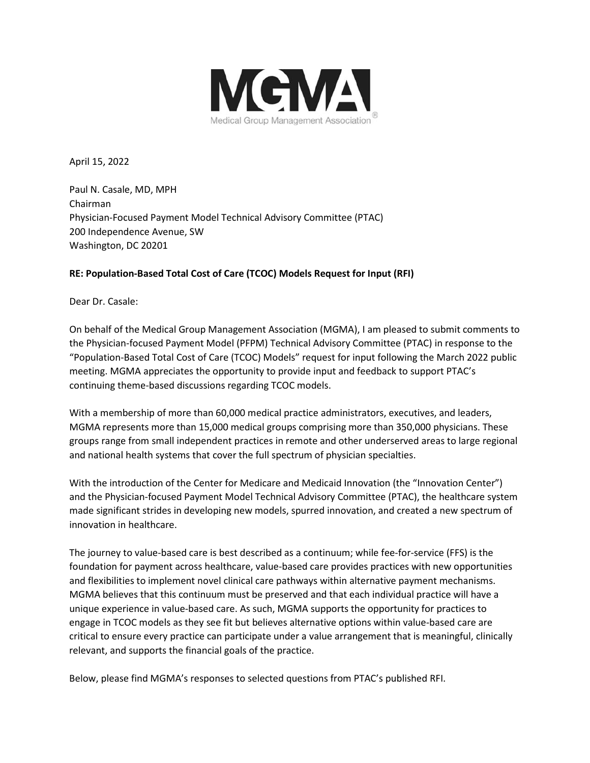

April 15, 2022

Paul N. Casale, MD, MPH Chairman Physician-Focused Payment Model Technical Advisory Committee (PTAC) 200 Independence Avenue, SW Washington, DC 20201

### **RE: Population-Based Total Cost of Care (TCOC) Models Request for Input (RFI)**

Dear Dr. Casale:

On behalf of the Medical Group Management Association (MGMA), I am pleased to submit comments to the Physician-focused Payment Model (PFPM) Technical Advisory Committee (PTAC) in response to the "Population-Based Total Cost of Care (TCOC) Models" request for input following the March 2022 public meeting. MGMA appreciates the opportunity to provide input and feedback to support PTAC's continuing theme-based discussions regarding TCOC models.

With a membership of more than 60,000 medical practice administrators, executives, and leaders, MGMA represents more than 15,000 medical groups comprising more than 350,000 physicians. These groups range from small independent practices in remote and other underserved areas to large regional and national health systems that cover the full spectrum of physician specialties.

With the introduction of the Center for Medicare and Medicaid Innovation (the "Innovation Center") and the Physician-focused Payment Model Technical Advisory Committee (PTAC), the healthcare system made significant strides in developing new models, spurred innovation, and created a new spectrum of innovation in healthcare.

The journey to value-based care is best described as a continuum; while fee-for-service (FFS) is the foundation for payment across healthcare, value-based care provides practices with new opportunities and flexibilities to implement novel clinical care pathways within alternative payment mechanisms. MGMA believes that this continuum must be preserved and that each individual practice will have a unique experience in value-based care. As such, MGMA supports the opportunity for practices to engage in TCOC models as they see fit but believes alternative options within value-based care are critical to ensure every practice can participate under a value arrangement that is meaningful, clinically relevant, and supports the financial goals of the practice.

Below, please find MGMA's responses to selected questions from PTAC's published RFI.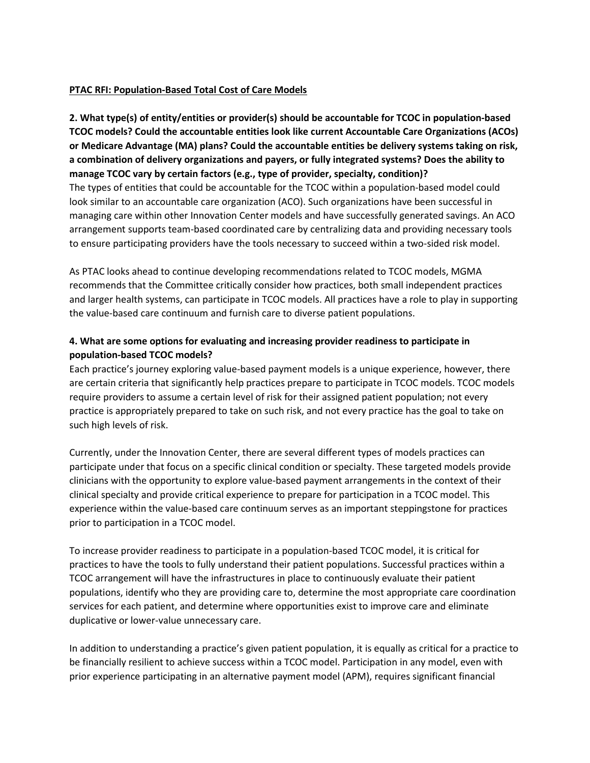#### **PTAC RFI: Population-Based Total Cost of Care Models**

**2. What type(s) of entity/entities or provider(s) should be accountable for TCOC in population-based TCOC models? Could the accountable entities look like current Accountable Care Organizations (ACOs) or Medicare Advantage (MA) plans? Could the accountable entities be delivery systems taking on risk, a combination of delivery organizations and payers, or fully integrated systems? Does the ability to manage TCOC vary by certain factors (e.g., type of provider, specialty, condition)?** The types of entities that could be accountable for the TCOC within a population-based model could look similar to an accountable care organization (ACO). Such organizations have been successful in managing care within other Innovation Center models and have successfully generated savings. An ACO arrangement supports team-based coordinated care by centralizing data and providing necessary tools to ensure participating providers have the tools necessary to succeed within a two-sided risk model.

As PTAC looks ahead to continue developing recommendations related to TCOC models, MGMA recommends that the Committee critically consider how practices, both small independent practices and larger health systems, can participate in TCOC models. All practices have a role to play in supporting the value-based care continuum and furnish care to diverse patient populations.

## **4. What are some options for evaluating and increasing provider readiness to participate in population-based TCOC models?**

Each practice's journey exploring value-based payment models is a unique experience, however, there are certain criteria that significantly help practices prepare to participate in TCOC models. TCOC models require providers to assume a certain level of risk for their assigned patient population; not every practice is appropriately prepared to take on such risk, and not every practice has the goal to take on such high levels of risk.

Currently, under the Innovation Center, there are several different types of models practices can participate under that focus on a specific clinical condition or specialty. These targeted models provide clinicians with the opportunity to explore value-based payment arrangements in the context of their clinical specialty and provide critical experience to prepare for participation in a TCOC model. This experience within the value-based care continuum serves as an important steppingstone for practices prior to participation in a TCOC model.

To increase provider readiness to participate in a population-based TCOC model, it is critical for practices to have the tools to fully understand their patient populations. Successful practices within a TCOC arrangement will have the infrastructures in place to continuously evaluate their patient populations, identify who they are providing care to, determine the most appropriate care coordination services for each patient, and determine where opportunities exist to improve care and eliminate duplicative or lower-value unnecessary care.

In addition to understanding a practice's given patient population, it is equally as critical for a practice to be financially resilient to achieve success within a TCOC model. Participation in any model, even with prior experience participating in an alternative payment model (APM), requires significant financial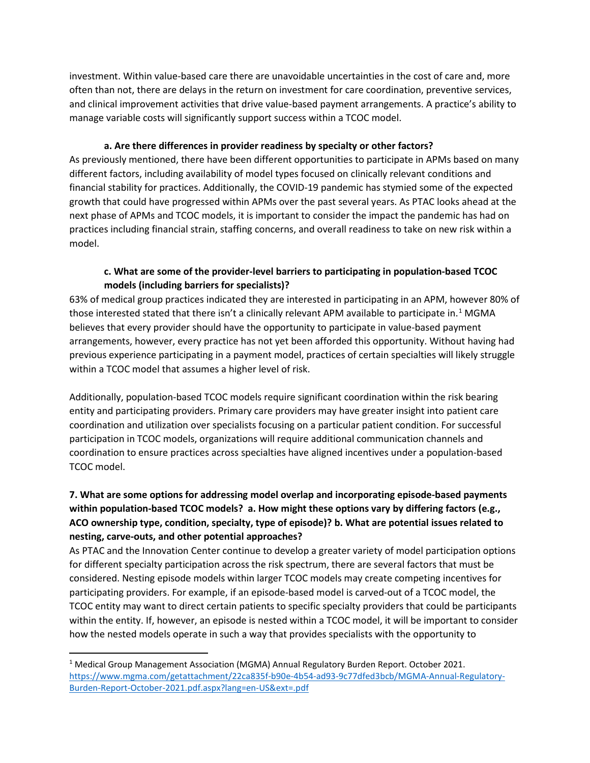investment. Within value-based care there are unavoidable uncertainties in the cost of care and, more often than not, there are delays in the return on investment for care coordination, preventive services, and clinical improvement activities that drive value-based payment arrangements. A practice's ability to manage variable costs will significantly support success within a TCOC model.

#### **a. Are there differences in provider readiness by specialty or other factors?**

As previously mentioned, there have been different opportunities to participate in APMs based on many different factors, including availability of model types focused on clinically relevant conditions and financial stability for practices. Additionally, the COVID-19 pandemic has stymied some of the expected growth that could have progressed within APMs over the past several years. As PTAC looks ahead at the next phase of APMs and TCOC models, it is important to consider the impact the pandemic has had on practices including financial strain, staffing concerns, and overall readiness to take on new risk within a model.

## **c. What are some of the provider-level barriers to participating in population-based TCOC models (including barriers for specialists)?**

63% of medical group practices indicated they are interested in participating in an APM, however 80% of those interested stated that there isn't a clinically relevant APM available to participate in.<sup>[1](#page-2-0)</sup> MGMA believes that every provider should have the opportunity to participate in value-based payment arrangements, however, every practice has not yet been afforded this opportunity. Without having had previous experience participating in a payment model, practices of certain specialties will likely struggle within a TCOC model that assumes a higher level of risk.

Additionally, population-based TCOC models require significant coordination within the risk bearing entity and participating providers. Primary care providers may have greater insight into patient care coordination and utilization over specialists focusing on a particular patient condition. For successful participation in TCOC models, organizations will require additional communication channels and coordination to ensure practices across specialties have aligned incentives under a population-based TCOC model.

# **7. What are some options for addressing model overlap and incorporating episode-based payments within population-based TCOC models? a. How might these options vary by differing factors (e.g., ACO ownership type, condition, specialty, type of episode)? b. What are potential issues related to nesting, carve-outs, and other potential approaches?**

As PTAC and the Innovation Center continue to develop a greater variety of model participation options for different specialty participation across the risk spectrum, there are several factors that must be considered. Nesting episode models within larger TCOC models may create competing incentives for participating providers. For example, if an episode-based model is carved-out of a TCOC model, the TCOC entity may want to direct certain patients to specific specialty providers that could be participants within the entity. If, however, an episode is nested within a TCOC model, it will be important to consider how the nested models operate in such a way that provides specialists with the opportunity to

<span id="page-2-0"></span><sup>1</sup> Medical Group Management Association (MGMA) Annual Regulatory Burden Report. October 2021. [https://www.mgma.com/getattachment/22ca835f-b90e-4b54-ad93-9c77dfed3bcb/MGMA-Annual-Regulatory-](https://www.mgma.com/getattachment/22ca835f-b90e-4b54-ad93-9c77dfed3bcb/MGMA-Annual-Regulatory-Burden-Report-October-2021.pdf.aspx?lang=en-US&ext=.pdf)[Burden-Report-October-2021.pdf.aspx?lang=en-US&ext=.pdf](https://www.mgma.com/getattachment/22ca835f-b90e-4b54-ad93-9c77dfed3bcb/MGMA-Annual-Regulatory-Burden-Report-October-2021.pdf.aspx?lang=en-US&ext=.pdf)